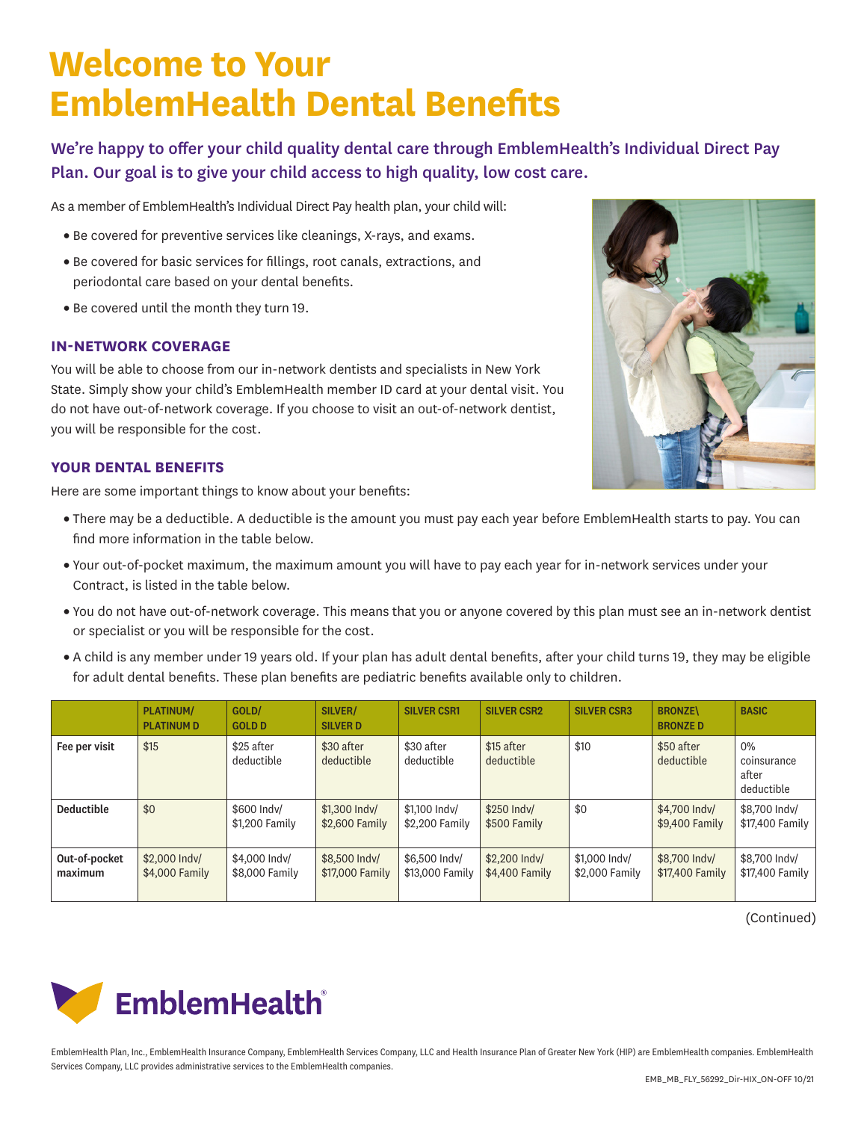# **Welcome to Your EmblemHealth Dental Benefits**

We're happy to offer your child quality dental care through EmblemHealth's Individual Direct Pay Plan. Our goal is to give your child access to high quality, low cost care.

As a member of EmblemHealth's Individual Direct Pay health plan, your child will:

- Be covered for preventive services like cleanings, X-rays, and exams.
- Be covered for basic services for fillings, root canals, extractions, and periodontal care based on your dental benefits.
- Be covered until the month they turn 19.

### **IN-NETWORK COVERAGE**

You will be able to choose from our in-network dentists and specialists in New York State. Simply show your child's EmblemHealth member ID card at your dental visit. You do not have out-of-network coverage. If you choose to visit an out-of-network dentist, you will be responsible for the cost.

### **YOUR DENTAL BENEFITS**

Here are some important things to know about your benefits:

- There may be a deductible. A deductible is the amount you must pay each year before EmblemHealth starts to pay. You can find more information in the table below.
- Your out-of-pocket maximum, the maximum amount you will have to pay each year for in-network services under your Contract, is listed in the table below.
- You do not have out-of-network coverage. This means that you or anyone covered by this plan must see an in-network dentist or specialist or you will be responsible for the cost.
- A child is any member under 19 years old. If your plan has adult dental benefits, after your child turns 19, they may be eligible for adult dental benefits. These plan benefits are pediatric benefits available only to children.

|                          | <b>PLATINUM/</b><br><b>PLATINUM D</b> | GOLD/<br><b>GOLD D</b>          | SILVER/<br><b>SILVER D</b>       | <b>SILVER CSR1</b>               | <b>SILVER CSR2</b>              | <b>SILVER CSR3</b>              | <b>BRONZE\</b><br><b>BRONZED</b> | <b>BASIC</b>                                |
|--------------------------|---------------------------------------|---------------------------------|----------------------------------|----------------------------------|---------------------------------|---------------------------------|----------------------------------|---------------------------------------------|
| Fee per visit            | \$15                                  | \$25 after<br>deductible        | \$30 after<br>deductible         | \$30 after<br>deductible         | \$15 after<br>deductible        | \$10                            | \$50 after<br>deductible         | $0\%$<br>coinsurance<br>after<br>deductible |
| <b>Deductible</b>        | \$0                                   | \$600 Indy/<br>\$1,200 Family   | \$1,300 Indy/<br>\$2,600 Family  | \$1,100 Indy/<br>\$2,200 Family  | \$250 Indy/<br>\$500 Family     | \$0                             | \$4,700 Indy/<br>\$9,400 Family  | \$8,700 Indy/<br>\$17,400 Family            |
| Out-of-pocket<br>maximum | \$2,000 Indy/<br>\$4,000 Family       | \$4,000 Indy/<br>\$8,000 Family | \$8,500 Indy/<br>\$17,000 Family | \$6,500 Indy/<br>\$13,000 Family | \$2,200 Indy/<br>\$4,400 Family | \$1,000 Indy/<br>\$2,000 Family | \$8,700 Indy/<br>\$17,400 Family | \$8,700 Indy/<br>\$17,400 Family            |

(Continued)



EmblemHealth Plan, Inc., EmblemHealth Insurance Company, EmblemHealth Services Company, LLC and Health Insurance Plan of Greater New York (HIP) are EmblemHealth companies. EmblemHealth Services Company, LLC provides administrative services to the EmblemHealth companies.